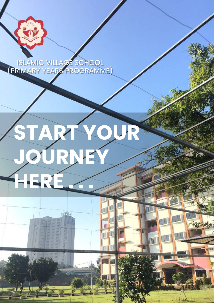

ISLAMIC VILLAGE SCHOOL (PRIMARY YEARS PROGRAMME)

# **START YOUR JOURNEY HERE ...**

mu





**STATE**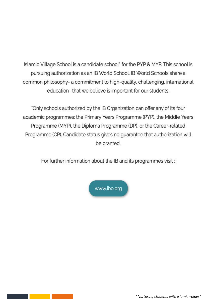Islamic Village School is a candidate school" for the PYP & MYP. This school is pursuing authorization as an IB World School. IB World Schools share a common philosophy- a commitment to high-quality, challenging, international education-that we believe is important for our students.

"Only schools authorized by the IB Organization can offer any of its four academic programmes: the Primary Years Programme (PYP), the Middle Years Programme (MYP), the Diploma Programme (DP), or the Career-related Programme (CP). Candidate status gives no guarantee that authorization will be granted.

For further information about the IB and its programmes visit:

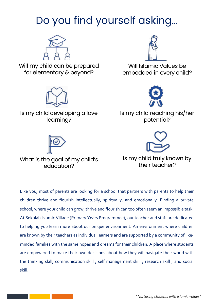### Do you find yourself asking…



Will my child can be prepared for elementary & beyond?



Is my child developing a love learning?



What is the goal of my child's education?



Will Islamic Values be embedded in every child?



Is my child reaching his/her potential?



Is my child truly known by their teacher?

Like you, most of parents are looking for a school that partners with parents to help their children thrive and flourish intellectually, spiritually, and emotionally. Finding a private school, where your child can grow, thrive and flourish can too often seem an impossible task. At Sekolah Islamic Village (Primary Years Programmee), our teacher and staff are dedicated to helping you learn more about our unique environment. An environment where children are known by their teachers as individual learners and are supported by a community of likeminded families with the same hopes and dreams for their children. A place where students are empowered to make their own decisions about how they will navigate their world with the thinking skill, communication skill , self management skill , research skill , and social skill.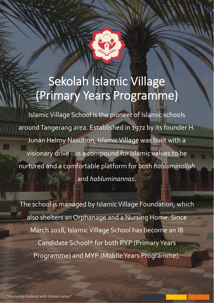# Sekolah Islamic Village (Primary Years Programme)

Islamic Village School is the pioneer of Islamic schools around Tangerang area. Established in 1972 by its founder H. Junan Helmy Nasution, Islamic Village was built with a visionary drive - as a compound for islamic values to be nurtured and a comfortable platform for both *habluminallah* and *habluminannas*.

The school is managed by Islamic Village Foundation, which also shelters an Orphanage and a Nursing Home. Since March 2018, Islamic Village School has become an IB Candidate School\* for both PYP (Primary Years Programme) and MYP (Middle Years Programme).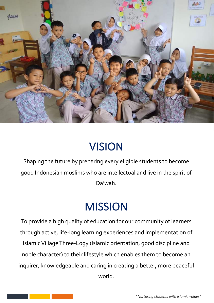

### **VISION**

Shaping the future by preparing every eligible students to become good Indonesian muslims who are intellectual and live in the spirit of Da'wah.

### **MISSION**

To provide a high quality of education for our community of learners through active, life-long learning experiences and implementation of Islamic Village Three-Logy (Islamic orientation, good discipline and noble character) to their lifestyle which enables them to become an inquirer, knowledgeable and caring in creating a better, more peaceful world.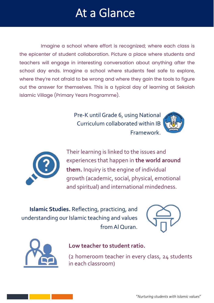# At a Glance

Imagine a school where effort is recognized; where each class is the epicenter of student collaboration. Picture a place where students and teachers will engage in interesting conversation about anything after the school day ends. Imagine a school where students feel safe to explore, where they're not afraid to be wrong and where they gain the tools to figure out the answer for themselves. This is a typical day of learning at Sekolah Islamic Village (Primary Years Programme).

> Pre-K until Grade 6, using National Curriculum collaborated within IB Framework.





Their learning is linked to the issues and experiences that happen in **the world around them.** Inquiry is the engine of individual growth (academic, social, physical, emotional and spiritual) and international mindedness.

**Islamic Studies.** Reflecting, practicing, and understanding our Islamic teaching and values from Al Quran.





#### **Low teacher to student ratio.**

(2 homeroom teacher in every class, 24 students in each classroom)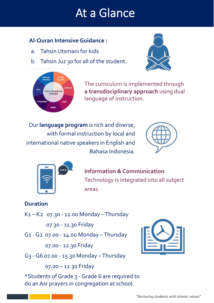# At a Glance

### **Al-Quran Intensive Guidance :**

- a. Tahsin Utsmani for kids
- b. Tahsin Juz 30 for all of the student.





The curriculum is implemented through **a transdisciplinary approach** using dual language of instruction.

Our **language program** is rich and diverse, with formal instruction by local and international native speakers in English and Bahasa Indonesia.





**Information & Communication**  Technology is integrated into all subject areas.

### **Duration**

K1 – K2 07.30 - 12.00 Monday –Thursday

07.30 - 11.30 Friday

G1 -G2 07.00 - 14.00 Monday –Thursday

07.00 - 12.30 Friday

G3 -G6 07.00 - 15.30 Monday –Thursday

07.00 – 12.30 Friday

\*Students of Grade 3 -Grade 6 are required to do an Asr prayers in congregation at school.

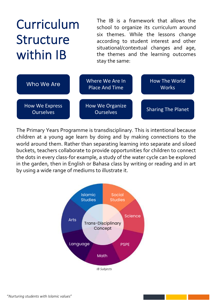# Curriculum Structure within IB

The IB is a framework that allows the school to organize its curriculum around six themes. While the lessons change according to student interest and other situational/contextual changes and age, the themes and the learning outcomes stay the same:

| Who We Are                         | Where We Are In<br><b>Place And Time</b> | How The World<br><b>Works</b> |
|------------------------------------|------------------------------------------|-------------------------------|
| How We Express<br><b>Ourselves</b> | How We Organize<br><b>Ourselves</b>      | <b>Sharing The Planet</b>     |

The Primary Years Programme is transdisciplinary. This is intentional because children at a young age learn by doing and by making connections to the world around them. Rather than separating learning into separate and siloed buckets, teachers collaborate to provide opportunities for children to connect the dots in every class-for example, a study of the water cycle can be explored in the garden, then in English or Bahasa class by writing or reading and in art by using a wide range of mediums to illustrate it.

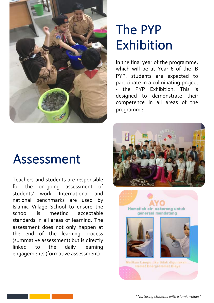

# The PYP Exhibition

In the final year of the programme, which will be at Year 6 of the IB PYP, students are expected to participate in a culminating project - the PYP Exhibition. This is designed to demonstrate their competence in all areas of the programme.

# Assessment

Teachers and students are responsible for the on-going assessment of students' work. International and national benchmarks are used by Islamic Village School to ensure the school is meeting acceptable standards in all areas of learning. The assessment does not only happen at the end of the learning process (summative assessment) but is directly linked to the daily learning engagements (formative assessment).



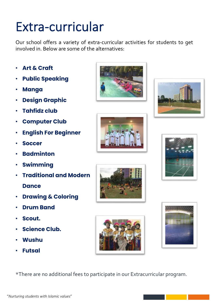# Extra-curricular

Our school offers a variety of extra-curricular activities for students to get involved in. Below are some of the alternatives:

- **Art & Craft**
- **Public Speaking**
- **Manga**
- **Design Graphic**
- **Tahfidz club**
- **Computer Club**
- **English For Beginner**
- **Soccer**
- **Badminton**
- **Swimming**
- **Traditional and Modern Dance**
- **Drawing & Coloring**
- **Drum Band**
- **Scout.**
- **Science Club.**
- **Wushu**
- **Futsal**















\*There are no additional fees to participate in our Extracurricular program.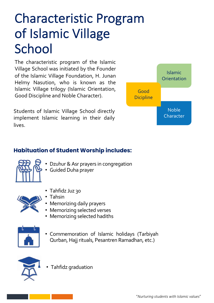# Characteristic Program of Islamic Village **School**

The characteristic program of the Islamic Village School was initiated by the Founder of the Islamic Village Foundation, H. Junan Helmy Nasution, who is known as the Islamic Village trilogy (Islamic Orientation, Good Discipline and Noble Character).

Students of Islamic Village School directly implement Islamic learning in their daily lives.



### **Habituation of Student Worship includes:**

- Dzuhur & Asr prayers in congregation
- 
- Guided Duha prayer



- Tahfidz Juz 30
- Tahsin
- Memorizing daily prayers
- Memorizing selected verses
- Memorizing selected hadiths



• Commemoration of Islamic holidays (Tarbiyah Qurban, Hajj rituals, Pesantren Ramadhan, etc.)



• Tahfidz graduation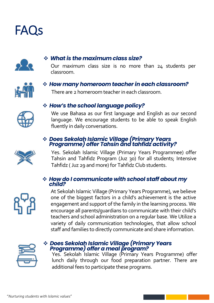



#### v *What is the maximum class size?*

Our maximum class size is no more than 24 students per classroom.



#### v *How many homeroom teacher in each classroom?*

There are 2 homeroom teacher in each classroom.



#### v *How's the school language policy?*

We use Bahasa as our first language and English as our second language. We encourage students to be able to speak English fluently in daily conversations.

### <sup>v</sup> *Does Sekolah Islamic Village (Primary Years Programme) offer Tahsin and tahfidz activity?*



Yes. Sekolah Islamic Village (Primary Years Programmee) offer Tahsin and Tahfidz Program (Juz 30) for all students; Intensive Tahfidz (Juz 29 and more) for Tahfidz Club students.

#### v *How do I communicate with school staff about my child?*



At Sekolah Islamic Village (Primary Years Programme), we believe one of the biggest factors in a child's achievement is the active engagement and support of the family in the learning process. We encourage all parents/guardians to communicate with their child's teachers and school administration on a regular base. We Utilize a variety of daily communication technologies, that allow school staff and families to directly communicate and share information.



### <sup>v</sup> *Does Sekolah Islamic Village (Primary Years Programme) offer a meal program?*

Yes. Sekolah Islamic Village (Primary Years Programme) offer lunch daily through our food preparation partner. There are additional fees to participate these programs.